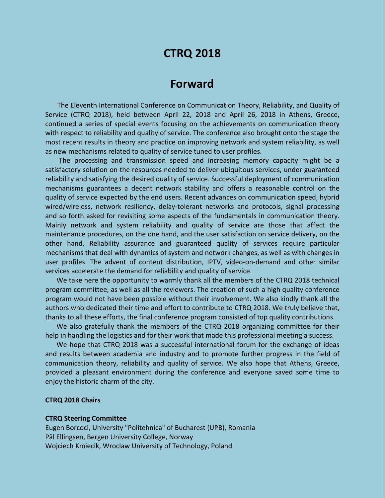# **CTRQ 2018**

## **Forward**

The Eleventh International Conference on Communication Theory, Reliability, and Quality of Service (CTRQ 2018), held between April 22, 2018 and April 26, 2018 in Athens, Greece, continued a series of special events focusing on the achievements on communication theory with respect to reliability and quality of service. The conference also brought onto the stage the most recent results in theory and practice on improving network and system reliability, as well as new mechanisms related to quality of service tuned to user profiles.

The processing and transmission speed and increasing memory capacity might be a satisfactory solution on the resources needed to deliver ubiquitous services, under guaranteed reliability and satisfying the desired quality of service. Successful deployment of communication mechanisms guarantees a decent network stability and offers a reasonable control on the quality of service expected by the end users. Recent advances on communication speed, hybrid wired/wireless, network resiliency, delay-tolerant networks and protocols, signal processing and so forth asked for revisiting some aspects of the fundamentals in communication theory. Mainly network and system reliability and quality of service are those that affect the maintenance procedures, on the one hand, and the user satisfaction on service delivery, on the other hand. Reliability assurance and guaranteed quality of services require particular mechanisms that deal with dynamics of system and network changes, as well as with changes in user profiles. The advent of content distribution, IPTV, video-on-demand and other similar services accelerate the demand for reliability and quality of service.

We take here the opportunity to warmly thank all the members of the CTRQ 2018 technical program committee, as well as all the reviewers. The creation of such a high quality conference program would not have been possible without their involvement. We also kindly thank all the authors who dedicated their time and effort to contribute to CTRQ 2018. We truly believe that, thanks to all these efforts, the final conference program consisted of top quality contributions.

We also gratefully thank the members of the CTRQ 2018 organizing committee for their help in handling the logistics and for their work that made this professional meeting a success.

We hope that CTRQ 2018 was a successful international forum for the exchange of ideas and results between academia and industry and to promote further progress in the field of communication theory, reliability and quality of service. We also hope that Athens, Greece, provided a pleasant environment during the conference and everyone saved some time to enjoy the historic charm of the city.

#### **CTRQ 2018 Chairs**

#### **CTRQ Steering Committee**

Eugen Borcoci, University "Politehnica" of Bucharest (UPB), Romania Pål Ellingsen, Bergen University College, Norway Wojciech Kmiecik, Wroclaw University of Technology, Poland